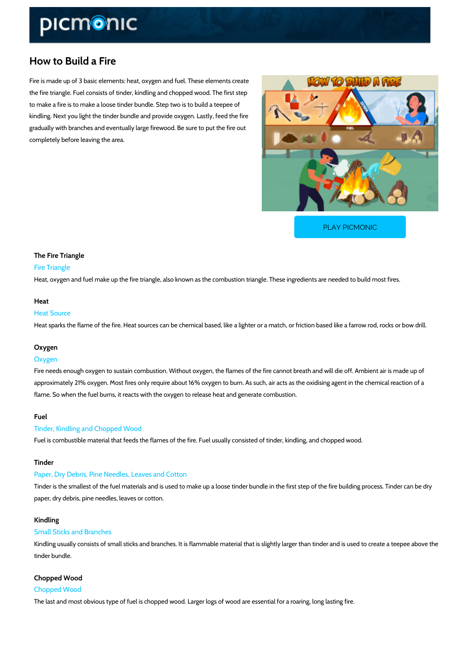# How to Build a Fire

Fire is made up of 3 basic elements: heat, oxygen and fuel. These elements create the fire triangle. Fuel consists of tinder, kindling and chopped wood. The first step to make a fire is to make a loose tinder bundle. Step two is to build a teepee of kindling. Next you light the tinder bundle and provide oxygen. Lastly, feed the fire gradually with branches and eventually large firewood. Be sure to put the fire out completely before leaving the area.

[PLAY PICMONIC](https://www.picmonic.com/learn/how-to-build-a-fire_11078?utm_source=downloadable_content&utm_medium=distributedcontent&utm_campaign=pathways_pdf&utm_content=How to Build a Fire&utm_ad_group=leads&utm_market=all)

The Fire Triangle Fire Triangle Heat, oxygen and fuel make up the fire triangle, also known as the combustion triangle. These

#### Heat

Heat Source Heat sparks the flame of the fire. Heat sources can be chemical based, like a lighter or a mat

#### Oxygen

### Oxygen

Fire needs enough oxygen to sustain combustion. Without oxygen, the flames of the fire cannot approximately 21% oxygen. Most fires only require about 16% oxygen to burn. As such, air act flame. So when the fuel burns, it reacts with the oxygen to release heat and generate combus

## Fuel

Tinder, Kindling and Chopped Wood Fuel is combustible material that feeds the flames of the fire. Fuel usually consisted of tinder

#### Tinder

Paper, Dry Debris, Pine Needles, Leaves and Cotton

Tinder is the smallest of the fuel materials and is used to make up a loose tinder bundle in th paper, dry debris, pine needles, leaves or cotton.

#### Kindling

#### Small Sticks and Branches

Kindling usually consists of small sticks and branches. It is flammable material that is slightl tinder bundle.

# Chopped Wood

Chopped Wood

The last and most obvious type of fuel is chopped wood. Larger logs of wood are essential for